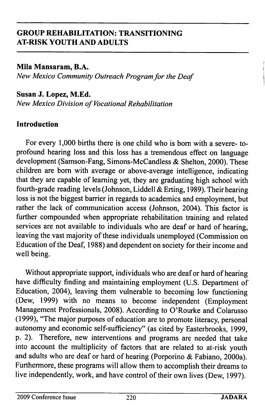Mila Mansaram, B.A. New Mexico Community Outreach Program for the Deaf

#### Susan J. Lopez, M.Ed.

New Mexico Division of Vocational Rehabilitation

#### Introduction

For every 1,000 births there is one child who is bom with a severe- toprofound hearing loss and this loss has a tremendous effect on language development (Samson-Fang, Simons-McCandless & Shelton, 2000). These children are bom with average or above-average intelligence, indicating that they are capable of leaming yet, they are graduating high school with fourth-grade reading levels (Johnson, Liddell & Erting, 1989). Their hearing loss is not the biggest barrier in regards to academics and employment, but rather the lack of communication access (Johnson, 2004). This factor is further compounded when appropriate rehabilitation training and related services are not available to individuals who are deaf or hard of hearing, leaving the vast majority of these individuals unemployed (Commission on Education of the Deaf, 1988) and dependent on society for their income and well being.

Without appropriate support, individuals who are deaf or hard of hearing have difficulty finding and maintaining employment (U.S. Department of Education, 2004), leaving them vulnerable to becoming low functioning (Dew, 1999) with no means to become independent (Employment Management Professionals, 2008). According to O'Rourke and Colarusso (1999), "The major purposes of education are to promote literacy, personal autonomy and economic self-sufficiency" (as cited by Easterbrooks, 1999, p. 2). Therefore, new interventions and programs are needed that take into account the multiplicity of factors that are related to at-risk youth and adults who are deaf or hard of hearing (Porporino & Fabiano, 2000a). Furthermore, these programs will allow them to accomplish their dreams to live independently, work, and have control of their own lives (Dew, 1997).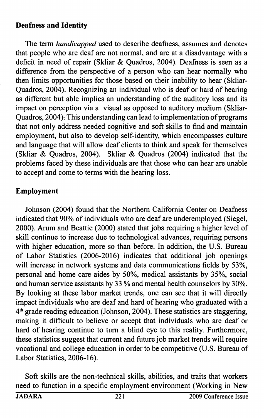#### Deafness and Identity

The term *handicapped* used to describe deafness, assumes and denotes that people who are deaf are not normal, and are at a disadvantage with a deficit in need of repair (Skliar & Quadros, 2004). Deafness is seen as a difference from the perspective of a person who can hear normally who then limits opportunities for those based on their inability to hear (Skliar-Quadros, 2004). Recognizing an individual who is deaf or hard of hearing as different but able implies an understanding of the auditory loss and its impact on perception via a visual as opposed to auditory medium (Skliar-Quadros, 2004). This understanding can lead to implementation of programs that not only address needed cognitive and soft skills to find and maintain employment, but also to develop self-identity, which encompasses culture and language that will allow deaf clients to think and speak for themselves (Skliar & Quadros, 2004). Skliar & Quadros (2004) indicated that the problems faced by these individuals are that those who can hear are unable to accept and come to terms with the hearing loss.

### Employment

Johnson (2004) found that the Northern California Center on Deafness indicated that 90% of individuals who are deaf are underemployed (Siegel, 2000). Arum and Beattie (2000) stated that jobs requiring a higher level of skill continue to increase due to technological advances, requiring persons with higher education, more so than before. In addition, the U.S. Bureau of Labor Statistics (2006-2016) indicates that additional job openings will increase in network systems and data communications fields by 53%, personal and home care aides by 50%, medical assistants by 35%, social and human service assistants by 33 % and mental health counselors by 30%. By looking at these labor market trends, one can see that it will directly impact individuals who are deaf and hard of hearing who graduated with a 4<sup>th</sup> grade reading education (Johnson, 2004). These statistics are staggering, making it difficult to believe or accept that individuals who are deaf or hard of hearing continue to turn a blind eye to this reality. Furthermore, these statistics suggest that current and future job market trends will require vocational and college education in order to be competitive (U.S. Bureau of Labor Statistics, 2006-16).

Soft skills are the non-technical skills, abilities, and traits that workers need to function in a specific employment environment (Working in New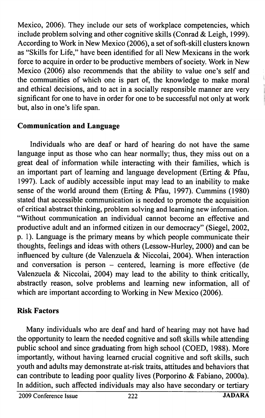Mexico, 2006). They include our sets of workplace competencies, which include problem solving and other cognitive skills (Conrad & Leigh, 1999). According to Work in New Mexico (2006), a set of soft-skill clusters known as "Skills for Life," have been identified for all New Mexicans in the work force to acquire in order to be productive members of society. Work in New Mexico (2006) also recommends that the ability to value one's self and the communities of which one is part of, the knowledge to make moral and ethical decisions, and to act in a socially responsible manner are very significant for one to have in order for one to be successful not only at work but, also in one's life span.

## Communication and Language

Individuals who are deaf or hard of hearing do not have the same language input as those who can hear normally; thus, they miss out on a great deal of information while interacting with their families, which is an important part of learning and language development (Erting & Pfau, 1997). Lack of audibly accessible input may lead to an inability to make sense of the world around them (Erting & Pfau, 1997). Cummins (1980) stated that accessible communication is needed to promote the acquisition of critical abstract thinking, problem solving and learning new information. "Without communication an individual cannot become an effective and productive adult and an informed citizen in our democracy" (Siegel, 2002, p. 1). Language is the primary means by which people communicate their thoughts, feelings and ideas with others (Lessow-Hurley, 2000) and can be influenced by culture (de Valenzuela & Niccolai, 2004). When interaction and conversation is person  $-$  centered, learning is more effective (de Valenzuela & Niccolai, 2004) may lead to the ability to think critically, abstractly reason, solve problems and learning new information, all of which are important according to Working in New Mexico (2006).

# Risk Factors

Many individuals who are deaf and hard of hearing may not have had the opportunity to learn the needed cognitive and soft skills while attending public school and since graduating from high school (COED, 1988). More importantly, without having learned crucial cognitive and soft skills, such youth and adults may demonstrate at-risk traits, attitudes and behaviors that can contribute to leading poor quality lives (Porporino & Fabiano, 2000a). In addition, such affected individuals may also have secondary or tertiary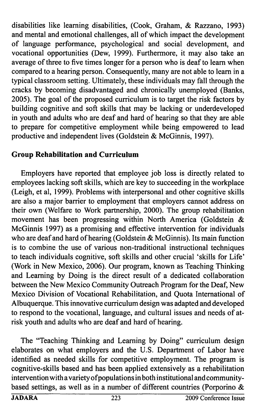disabilities like learning disabilities, (Cook, Graham, & Razzano, 1993) and mental and emotional challenges, all of which impact the development of language performance, psychological and social development, and vocational opportunities (Dew, 1999). Furthermore, it may also take an average of three to five times longer for a person who is deaf to learn when compared to a hearing person. Consequently, many are not able to learn in a typical classroom setting. Ultimately, these individuals may fall through the cracks by becoming disadvantaged and chronically unemployed (Banks, 2005). The goal of the proposed curriculum is to target the risk factors by building cognitive and soft skills that may be lacking or underdeveloped in youth and adults who are deaf and hard of hearing so that they are able to prepare for competitive employment while being empowered to lead productive and independent lives (Goldstein & McGinnis, 1997).

## Group Rehabilitation and Curriculum

Employers have reported that employee job loss is directly related to employees lacking soft skills, which are key to succeeding in the workplace (Leigh, et al, 1999). Problems with interpersonal and other cognitive skills are also a major barrier to employment that employers cannot address on their own (Welfare to Work partnership, 2000). The group rehabilitation movement has been progressing within North America (Goldstein & McGinnis 1997) as a promising and effective intervention for individuals who are deaf and hard of hearing (Goldstein & McGinnis). Its main function is to combine the use of various non-traditional instructional techniques to teach individuals cognitive, soft skills and other crucial 'skills for Life' (Work in New Mexico, 2006). Our program, known as Teaching Thinking and Learning by Doing is the direct result of a dedicated collaboration between the New Mexico Community Outreach Program for the Deaf, New Mexico Division of Vocational Rehabilitation, and Quota International of Albuquerque. This innovative curriculum design was adapted and developed to respond to the vocational, language, and cultural issues and needs of atrisk youth and adults who are deaf and hard of hearing.

The "Teaching Thinking and Learning by Doing" curriculum design elaborates on what employers and the U.S. Department of Labor have identified as needed skills for competitive employment. The program is cognitive-skills based and has been applied extensively as a rehabilitation intervention with a variety ofpopulations in both institutional and communitybased settings, as well as in a number of different countries (Porporino &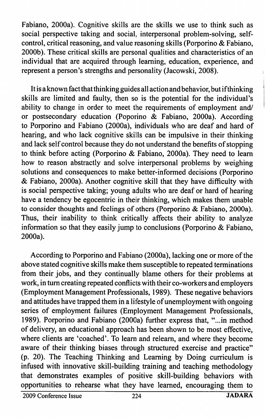Fabiano, 2000a). Cognitive skills are the skills we use to think such as social perspective taking and social, interpersonal problem-solving, selfcontrol, critical reasoning, and value reasoning skills (Porporino & Fabiano, 2000b). These critical skills are personal qualities and characteristics of an individual that are acquired through learning, education, experience, and represent a person's strengths and personality (Jacowski, 2008).

It is a known fact that thinking guides all action and behavior, but if thinking skills are limited and faulty, then so is the potential for the individual's ability to change in order to meet the requirements of employment and/ or postsecondary education (Poporino & Fabiano, 2000a). According to Porporino and Fabiano (2000a), individuals who are deaf and hard of hearing, and who lack cognitive skills can be impulsive in their thinking and lack self control because they do not understand the benefits of stopping to think before acting (Porporino & Fabiano, 2000a). They need to learn how to reason abstractly and solve interpersonal problems by weighing solutions and consequences to make better-informed decisions (Porporino & Fabiano, 2000a). Another cognitive skill that they have difficulty with is social perspective taking; young adults who are deaf or hard of hearing have a tendency be egocentric in their thinking, which makes them unable to consider thoughts and feelings of others (Porporino & Fabiano, 2000a). Thus, their inability to think critically affects their ability to analyze information so that they easily jump to conclusions (Porporino & Fabiano, 2000a).

According to Porporino and Fabiano (2000a), lacking one or more of the above stated cognitive skills make them susceptible to repeated terminations from their jobs, and they continually blame others for their problems at work, in turn creating repeated conflicts with their co-workers and employers (Employment Management Professionals, 1989). These negative behaviors and attitudes have trapped them in a lifestyle of unemployment with ongoing series of employment failures (Employment Management Professionals, 1989). Porporino and Fabiano (2000a) further express that, "...in method of delivery, an educational approach has been shown to be most effective, where clients are 'coached'. To learn and releam, and where they become aware of their thinking biases through structured exercise and practice" (p. 20). The Teaching Thinking and Learning by Doing curriculum is infused with innovative skill-building training and teaching methodology that demonstrates examples of positive skill-building behaviors with opportunities to rehearse what they have learned, encouraging them to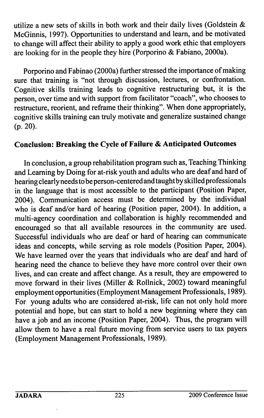utilize a new sets of skills in both work and their daily lives (Goldstein & McGinnis, 1997). Opportunities to understand and learn, and be motivated to change will affect their ability to apply a good work ethic that employers are looking for in the people they hire (Porporino & Fabiano, 2000a).

Porporino and Fabinao (2000a) further stressed the importance of making sure that training is "not through discussion, lectures, or confrontation. Cognitive skills training leads to cognitive restructuring but, it is the person, over time and with support from facilitator "coach", who chooses to restructure, reorient, and reffame their thinking". When done appropriately, cognitive skills training can truly motivate and generalize sustained change (p. 20).

## Conclusion: Breaking the Cycle of Failure & Anticipated Outcomes

In conclusion, a group rehabilitation program such as. Teaching Thinking and Learning by Doing for at-risk youth and adults who are deaf and hard of hearing clearly needs to be person-centered and taught by skilled professionals in the language that is most accessible to the participant (Position Paper, 2004). Communication access must be determined by the individual who is deaf and/or hard of hearing (Position paper, 2004). In addition, a multi-agency coordination and collaboration is highly recommended and encouraged so that all available resources in the community are used. Successful individuals who are deaf or hard of hearing can communicate ideas and concepts, while serving as role models (Position Paper, 2004). We have learned over the years that individuals who are deaf and hard of hearing need the chance to believe they have more control over their own lives, and can create and affect change. As a result, they are empowered to move forward in their lives (Miller & Rollnick, 2002) toward meaningful employment opportunities (Employment Management Professionals, 1989). For young adults who are considered at-risk, life can not only hold more potential and hope, but can start to hold a new beginning where they can have a job and an income (Position Paper, 2004). Thus, the program will allow them to have a real future moving from service users to tax payers (Employment Management Professionals, 1989).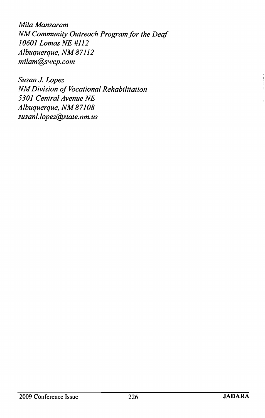Mila Mansaram NM Community Outreach Program for the Deaf 10601 Lomas NE #112 Albuquerque, NM 87112 milam@swcp. com

Susan J. Lopez NM Division of Vocational Rehabilitation 5301 Central Avenue NE Albuquerque, NM87108 susanl. lopez@state. nm. us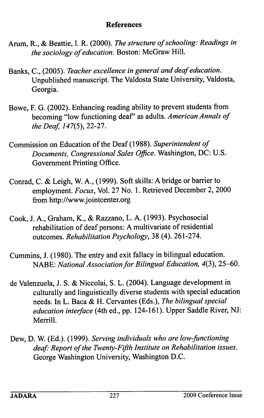#### References

- Arum, R., & Beattie, I. R. (2000). The structure of schooling: Readings in the sociology of education. Boston: McGraw Hill.
- Banks, C., (2005). Teacher excellence in general and deaf education. Unpublished manuscript. The Valdosta State University, Valdosta, Georgia.
- Bowe, F. G. (2002). Enhancing reading ability to prevent students from becoming "low functioning deaf" as adults. American Annals of the Deaf,  $147(5)$ , 22-27.
- Commission on Education of the Deaf (1988). Superintendent of Documents, Congressional Sales Office. Washington, DC: U.S. Government Printing Office.
- Conrad, C. & Leigh, W. A., (1999). Soft skills: A bridge or barrier to employment. Focus, Vol. 27 No. 1. Retrieved December 2, 2000 from http://www.jointcenter.org
- Cook, J. A., Graham, K., & Razzano, L. A. (1993). Psychosocial rehabilitation of deaf persons: A multivariate of residential outcomes. Rehabilitation Psychology, 38 (4). 261-274.
- Cummins, J. (1980). The entry and exit fallacy in bilingual education. NABE: National Association for Bilingual Education, 4(3), 25-60.
- de Valenzuela, J. S. & Niccolai, S. L. (2004). Language development in culturally and linguistically diverse students with special education needs. In L. Baca & H. Cervantes (Eds.), The bilingual special education interface (4th ed., pp. 124-161). Upper Saddle River, NJ: Merrill.
- Dew, D. W. (Ed.). (1999). Serving individuals who are low-functioning deaf: Report of the Twenty-Fifth Institute on Rehabilitation issues. George Washington University, Washington D.C.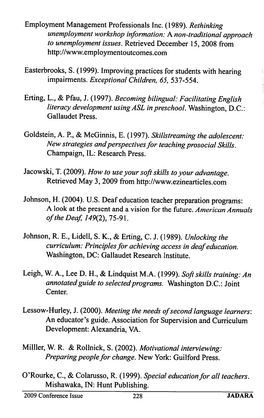- Employment Management Professionals Inc. (1989). Rethinking unemployment workshop information: A non-traditional approach to unemployment issues. Retrieved December 15, 2008 from http://www.employmentoutcomes.com
- Easterbrooks, S. (1999). Improving practices for students with hearing impairments. Exceptional Children, 65, 537-554.
- Erting, L., & Pfau, J. (1997). Becoming bilingual: Facilitating English literacy development using ASL in preschool. Washington, D.C.: Gallaudet Press.
- Goldstein, A. P., & McGinnis, E. (1997). Skillstreaming the adolescent: New strategies and perspectives for teaching prosocial Skills. Champaign, IL: Research Press.
- Jacowski, T. (2009). How to use your soft skills to your advantage. Retrieved May 3, 2009 from http://www.ezinearticles.com
- Johnson, H. (2004). U.S. Deaf education teacher preparation programs: A look at the present and a vision for the future. American Annuals of the Deaf, 149(2), 75-91.
- Johnson, R. E., Lidell, S. K., & Erting, C. J. (1989). Unlocking the curriculum: Principles for achieving access in deaf education. Washington, DC: Gallaudet Research Institute.
- Leigh, W. A., Lee D. H., & Lindquist M.A. (1999). Soft skills training: An annotated guide to selected programs. Washington D.C.: Joint Center.
- Lessow-Hurley, J. (2000). Meeting the needs of second language learners: An educator's guide. Association for Supervision and Curriculum Development: Alexandria, VA.
- Milller, W. R. & Rollnick, S. (2002). Motivational interviewing: Preparing people for change. New York: Guilford Press.
- O'Rourke, C., & Colarusso, R. (1999). Special education for all teachers. Mishawaka, IN: Hunt Publishing.